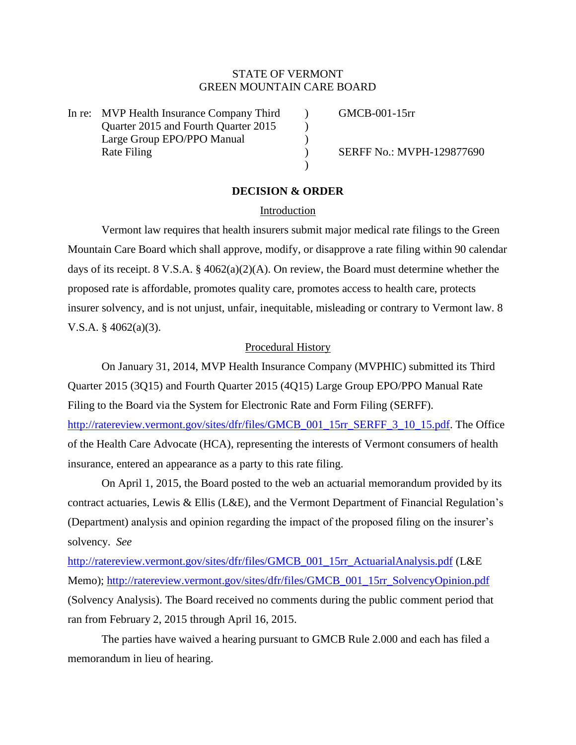# STATE OF VERMONT GREEN MOUNTAIN CARE BOARD

In re: MVP Health Insurance Company Third (GMCB-001-15rr Quarter 2015 and Fourth Quarter 2015 (a) Large Group EPO/PPO Manual (1996) Rate Filing (a) SERFF No.: MVPH-129877690

### **DECISION & ORDER**

)

#### Introduction

Vermont law requires that health insurers submit major medical rate filings to the Green Mountain Care Board which shall approve, modify, or disapprove a rate filing within 90 calendar days of its receipt. 8 V.S.A. § 4062(a)(2)(A). On review, the Board must determine whether the proposed rate is affordable, promotes quality care, promotes access to health care, protects insurer solvency, and is not unjust, unfair, inequitable, misleading or contrary to Vermont law. 8 V.S.A. § 4062(a)(3).

### Procedural History

On January 31, 2014, MVP Health Insurance Company (MVPHIC) submitted its Third Quarter 2015 (3Q15) and Fourth Quarter 2015 (4Q15) Large Group EPO/PPO Manual Rate Filing to the Board via the System for Electronic Rate and Form Filing (SERFF). [http://ratereview.vermont.gov/sites/dfr/files/GMCB\\_001\\_15rr\\_SERFF\\_3\\_10\\_15.pdf.](http://ratereview.vermont.gov/sites/dfr/files/GMCB_001_15rr_SERFF_3_10_15.pdf) The Office of the Health Care Advocate (HCA), representing the interests of Vermont consumers of health insurance, entered an appearance as a party to this rate filing.

On April 1, 2015, the Board posted to the web an actuarial memorandum provided by its contract actuaries, Lewis & Ellis (L&E), and the Vermont Department of Financial Regulation's (Department) analysis and opinion regarding the impact of the proposed filing on the insurer's solvency. *See*

[http://ratereview.vermont.gov/sites/dfr/files/GMCB\\_001\\_15rr\\_ActuarialAnalysis.pdf](http://ratereview.vermont.gov/sites/dfr/files/GMCB_001_15rr_ActuarialAnalysis.pdf) (L&E Memo); [http://ratereview.vermont.gov/sites/dfr/files/GMCB\\_001\\_15rr\\_SolvencyOpinion.pdf](http://ratereview.vermont.gov/sites/dfr/files/GMCB_001_15rr_SolvencyOpinion.pdf) (Solvency Analysis). The Board received no comments during the public comment period that ran from February 2, 2015 through April 16, 2015.

The parties have waived a hearing pursuant to GMCB Rule 2.000 and each has filed a memorandum in lieu of hearing.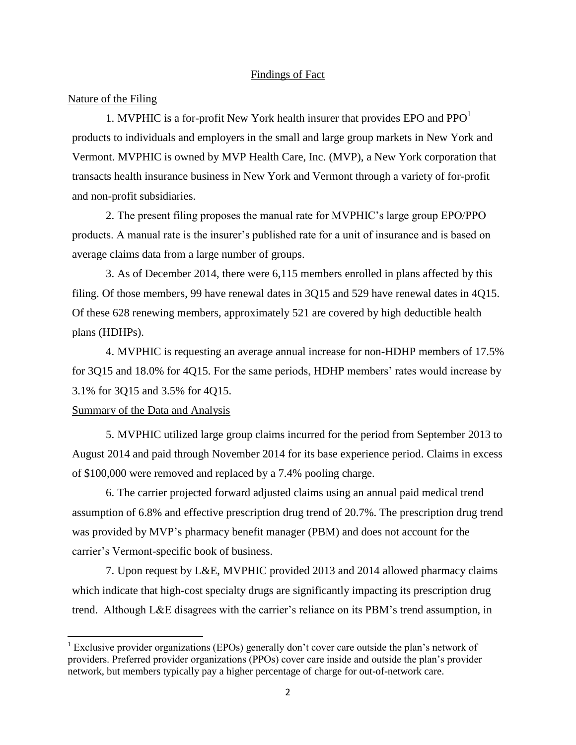### Findings of Fact

### Nature of the Filing

1. MVPHIC is a for-profit New York health insurer that provides EPO and  $PPO<sup>1</sup>$ products to individuals and employers in the small and large group markets in New York and Vermont. MVPHIC is owned by MVP Health Care, Inc. (MVP), a New York corporation that transacts health insurance business in New York and Vermont through a variety of for-profit and non-profit subsidiaries.

2. The present filing proposes the manual rate for MVPHIC's large group EPO/PPO products. A manual rate is the insurer's published rate for a unit of insurance and is based on average claims data from a large number of groups.

3. As of December 2014, there were 6,115 members enrolled in plans affected by this filing. Of those members, 99 have renewal dates in 3Q15 and 529 have renewal dates in 4Q15. Of these 628 renewing members, approximately 521 are covered by high deductible health plans (HDHPs).

4. MVPHIC is requesting an average annual increase for non-HDHP members of 17.5% for 3Q15 and 18.0% for 4Q15. For the same periods, HDHP members' rates would increase by 3.1% for 3Q15 and 3.5% for 4Q15.

### Summary of the Data and Analysis

 $\overline{a}$ 

5. MVPHIC utilized large group claims incurred for the period from September 2013 to August 2014 and paid through November 2014 for its base experience period. Claims in excess of \$100,000 were removed and replaced by a 7.4% pooling charge.

6. The carrier projected forward adjusted claims using an annual paid medical trend assumption of 6.8% and effective prescription drug trend of 20.7%. The prescription drug trend was provided by MVP's pharmacy benefit manager (PBM) and does not account for the carrier's Vermont-specific book of business.

7. Upon request by L&E, MVPHIC provided 2013 and 2014 allowed pharmacy claims which indicate that high-cost specialty drugs are significantly impacting its prescription drug trend. Although L&E disagrees with the carrier's reliance on its PBM's trend assumption, in

<sup>&</sup>lt;sup>1</sup> Exclusive provider organizations (EPOs) generally don't cover care outside the plan's network of providers. Preferred provider organizations (PPOs) cover care inside and outside the plan's provider network, but members typically pay a higher percentage of charge for out-of-network care.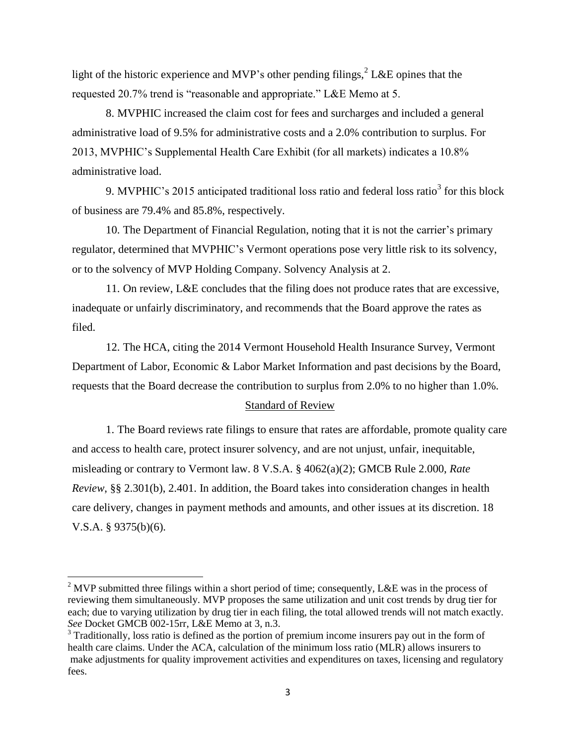light of the historic experience and MVP's other pending filings,  $2^2$  L&E opines that the requested 20.7% trend is "reasonable and appropriate." L&E Memo at 5.

8. MVPHIC increased the claim cost for fees and surcharges and included a general administrative load of 9.5% for administrative costs and a 2.0% contribution to surplus. For 2013, MVPHIC's Supplemental Health Care Exhibit (for all markets) indicates a 10.8% administrative load.

9. MVPHIC's 2015 anticipated traditional loss ratio and federal loss ratio<sup>3</sup> for this block of business are 79.4% and 85.8%, respectively.

10. The Department of Financial Regulation, noting that it is not the carrier's primary regulator, determined that MVPHIC's Vermont operations pose very little risk to its solvency, or to the solvency of MVP Holding Company. Solvency Analysis at 2.

11. On review, L&E concludes that the filing does not produce rates that are excessive, inadequate or unfairly discriminatory, and recommends that the Board approve the rates as filed.

12. The HCA, citing the 2014 Vermont Household Health Insurance Survey, Vermont Department of Labor, Economic & Labor Market Information and past decisions by the Board, requests that the Board decrease the contribution to surplus from 2.0% to no higher than 1.0%.

### Standard of Review

1. The Board reviews rate filings to ensure that rates are affordable, promote quality care and access to health care, protect insurer solvency, and are not unjust, unfair, inequitable, misleading or contrary to Vermont law. 8 V.S.A. § 4062(a)(2); GMCB Rule 2.000, *Rate Review*, §§ 2.301(b), 2.401. In addition, the Board takes into consideration changes in health care delivery, changes in payment methods and amounts, and other issues at its discretion. 18 V.S.A. § 9375(b)(6).

 $\overline{\phantom{a}}$ 

<sup>&</sup>lt;sup>2</sup> MVP submitted three filings within a short period of time; consequently, L&E was in the process of reviewing them simultaneously. MVP proposes the same utilization and unit cost trends by drug tier for each; due to varying utilization by drug tier in each filing, the total allowed trends will not match exactly. *See* Docket GMCB 002-15rr, L&E Memo at 3, n.3.

<sup>&</sup>lt;sup>3</sup> Traditionally, loss ratio is defined as the portion of premium income insurers pay out in the form of health care claims. Under the ACA, calculation of the minimum loss ratio (MLR) allows insurers to make adjustments for quality improvement activities and expenditures on taxes, licensing and regulatory fees.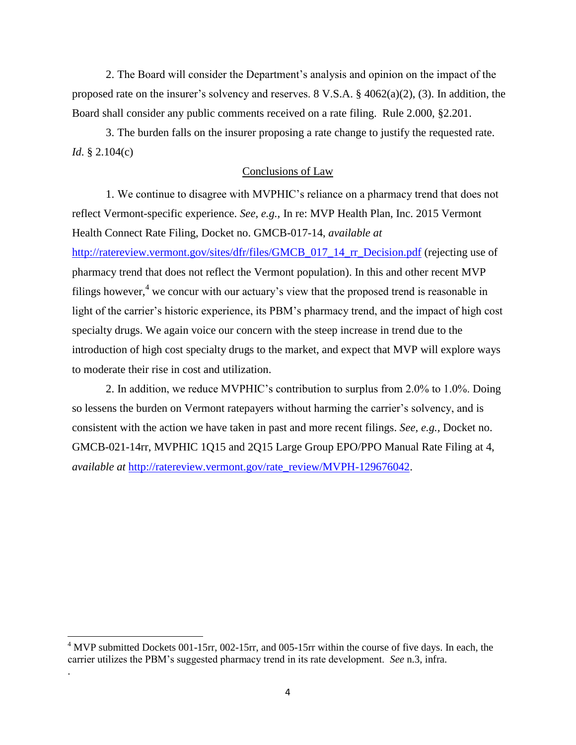2. The Board will consider the Department's analysis and opinion on the impact of the proposed rate on the insurer's solvency and reserves. 8 V.S.A.  $\S$  4062(a)(2), (3). In addition, the Board shall consider any public comments received on a rate filing. Rule 2.000, §2.201.

3. The burden falls on the insurer proposing a rate change to justify the requested rate. *Id*. § 2.104(c)

## Conclusions of Law

1. We continue to disagree with MVPHIC's reliance on a pharmacy trend that does not reflect Vermont-specific experience. *See, e.g.,* In re: MVP Health Plan, Inc. 2015 Vermont Health Connect Rate Filing, Docket no. GMCB-017-14, *available at*  [http://ratereview.vermont.gov/sites/dfr/files/GMCB\\_017\\_14\\_rr\\_Decision.pdf](http://ratereview.vermont.gov/sites/dfr/files/GMCB_017_14_rr_Decision.pdf) (rejecting use of pharmacy trend that does not reflect the Vermont population). In this and other recent MVP filings however,<sup>4</sup> we concur with our actuary's view that the proposed trend is reasonable in light of the carrier's historic experience, its PBM's pharmacy trend, and the impact of high cost specialty drugs. We again voice our concern with the steep increase in trend due to the introduction of high cost specialty drugs to the market, and expect that MVP will explore ways to moderate their rise in cost and utilization.

2. In addition, we reduce MVPHIC's contribution to surplus from 2.0% to 1.0%. Doing so lessens the burden on Vermont ratepayers without harming the carrier's solvency, and is consistent with the action we have taken in past and more recent filings. *See, e.g.,* Docket no. GMCB-021-14rr, MVPHIC 1Q15 and 2Q15 Large Group EPO/PPO Manual Rate Filing at 4, *available at* [http://ratereview.vermont.gov/rate\\_review/MVPH-129676042.](http://ratereview.vermont.gov/rate_review/MVPH-129676042)

 $\overline{a}$ 

.

 $4$  MVP submitted Dockets 001-15rr, 002-15rr, and 005-15rr within the course of five days. In each, the carrier utilizes the PBM's suggested pharmacy trend in its rate development. *See* n.3, infra.